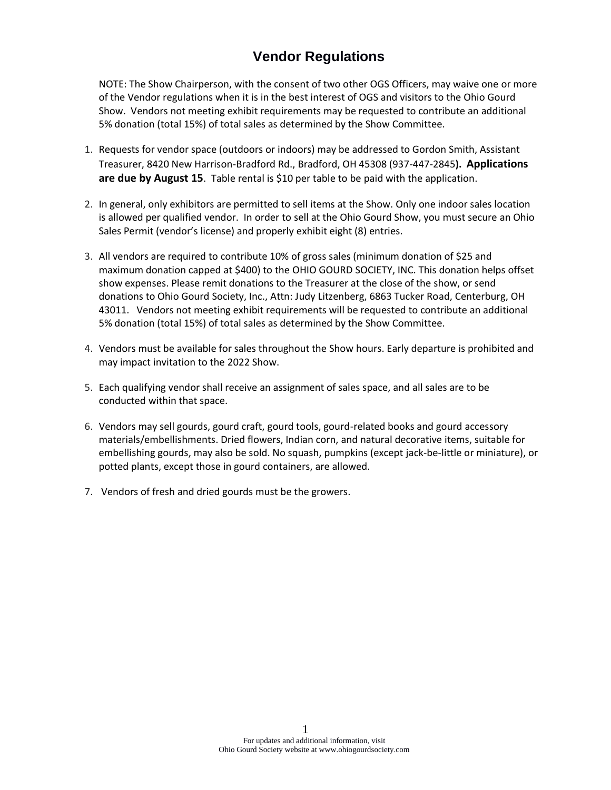## **Vendor Regulations**

NOTE: The Show Chairperson, with the consent of two other OGS Officers, may waive one or more of the Vendor regulations when it is in the best interest of OGS and visitors to the Ohio Gourd Show. Vendors not meeting exhibit requirements may be requested to contribute an additional 5% donation (total 15%) of total sales as determined by the Show Committee.

- 1. Requests for vendor space (outdoors or indoors) may be addressed to Gordon Smith, Assistant Treasurer, 8420 New Harrison-Bradford Rd., Bradford, OH 45308 (937-447-2845**). Applications are due by August 15**. Table rental is \$10 per table to be paid with the application.
- 2. In general, only exhibitors are permitted to sell items at the Show. Only one indoor sales location is allowed per qualified vendor. In order to sell at the Ohio Gourd Show, you must secure an Ohio Sales Permit (vendor's license) and properly exhibit eight (8) entries.
- 3. All vendors are required to contribute 10% of gross sales (minimum donation of \$25 and maximum donation capped at \$400) to the OHIO GOURD SOCIETY, INC. This donation helps offset show expenses. Please remit donations to the Treasurer at the close of the show, or send donations to Ohio Gourd Society, Inc., Attn: Judy Litzenberg, 6863 Tucker Road, Centerburg, OH 43011. Vendors not meeting exhibit requirements will be requested to contribute an additional 5% donation (total 15%) of total sales as determined by the Show Committee.
- 4. Vendors must be available for sales throughout the Show hours. Early departure is prohibited and may impact invitation to the 2022 Show.
- 5. Each qualifying vendor shall receive an assignment of sales space, and all sales are to be conducted within that space.
- 6. Vendors may sell gourds, gourd craft, gourd tools, gourd-related books and gourd accessory materials/embellishments. Dried flowers, Indian corn, and natural decorative items, suitable for embellishing gourds, may also be sold. No squash, pumpkins (except jack-be-little or miniature), or potted plants, except those in gourd containers, are allowed.
- 7. Vendors of fresh and dried gourds must be the growers.